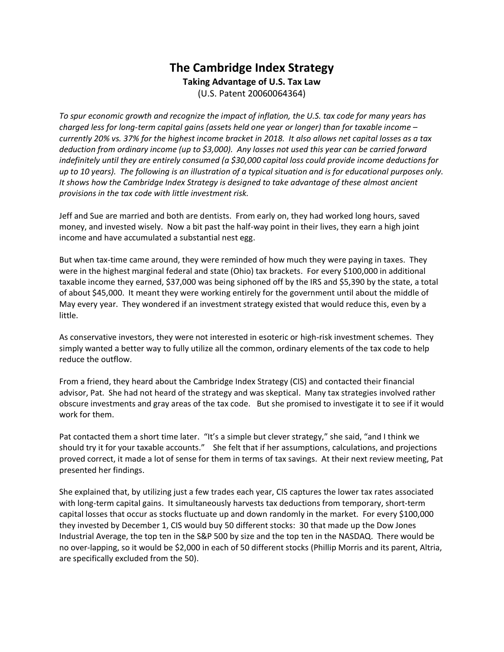## **The Cambridge Index Strategy Taking Advantage of U.S. Tax Law** (U.S. Patent 20060064364)

*To spur economic growth and recognize the impact of inflation, the U.S. tax code for many years has charged less for long-term capital gains (assets held one year or longer) than for taxable income – currently 20% vs. 37% for the highest income bracket in 2018. It also allows net capital losses as a tax deduction from ordinary income (up to \$3,000). Any losses not used this year can be carried forward indefinitely until they are entirely consumed (a \$30,000 capital loss could provide income deductions for up to 10 years). The following is an illustration of a typical situation and is for educational purposes only. It shows how the Cambridge Index Strategy is designed to take advantage of these almost ancient provisions in the tax code with little investment risk.* 

Jeff and Sue are married and both are dentists. From early on, they had worked long hours, saved money, and invested wisely. Now a bit past the half-way point in their lives, they earn a high joint income and have accumulated a substantial nest egg.

But when tax-time came around, they were reminded of how much they were paying in taxes. They were in the highest marginal federal and state (Ohio) tax brackets. For every \$100,000 in additional taxable income they earned, \$37,000 was being siphoned off by the IRS and \$5,390 by the state, a total of about \$45,000. It meant they were working entirely for the government until about the middle of May every year. They wondered if an investment strategy existed that would reduce this, even by a little.

As conservative investors, they were not interested in esoteric or high-risk investment schemes. They simply wanted a better way to fully utilize all the common, ordinary elements of the tax code to help reduce the outflow.

From a friend, they heard about the Cambridge Index Strategy (CIS) and contacted their financial advisor, Pat. She had not heard of the strategy and was skeptical. Many tax strategies involved rather obscure investments and gray areas of the tax code. But she promised to investigate it to see if it would work for them.

Pat contacted them a short time later. "It's a simple but clever strategy," she said, "and I think we should try it for your taxable accounts." She felt that if her assumptions, calculations, and projections proved correct, it made a lot of sense for them in terms of tax savings. At their next review meeting, Pat presented her findings.

She explained that, by utilizing just a few trades each year, CIS captures the lower tax rates associated with long-term capital gains. It simultaneously harvests tax deductions from temporary, short-term capital losses that occur as stocks fluctuate up and down randomly in the market. For every \$100,000 they invested by December 1, CIS would buy 50 different stocks: 30 that made up the Dow Jones Industrial Average, the top ten in the S&P 500 by size and the top ten in the NASDAQ. There would be no over-lapping, so it would be \$2,000 in each of 50 different stocks (Phillip Morris and its parent, Altria, are specifically excluded from the 50).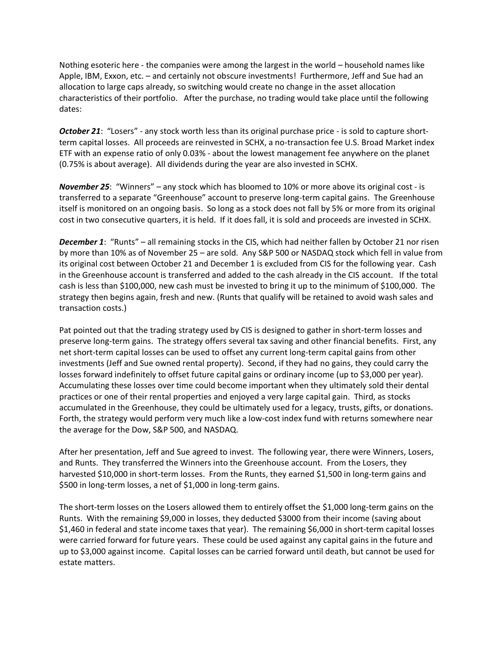Nothing esoteric here - the companies were among the largest in the world – household names like Apple, IBM, Exxon, etc. – and certainly not obscure investments! Furthermore, Jeff and Sue had an allocation to large caps already, so switching would create no change in the asset allocation characteristics of their portfolio. After the purchase, no trading would take place until the following dates:

*October 21*: "Losers" - any stock worth less than its original purchase price - is sold to capture shortterm capital losses. All proceeds are reinvested in SCHX, a no-transaction fee U.S. Broad Market index ETF with an expense ratio of only 0.03% - about the lowest management fee anywhere on the planet (0.75% is about average). All dividends during the year are also invested in SCHX.

*November 25*: "Winners" – any stock which has bloomed to 10% or more above its original cost - is transferred to a separate "Greenhouse" account to preserve long-term capital gains. The Greenhouse itself is monitored on an ongoing basis. So long as a stock does not fall by 5% or more from its original cost in two consecutive quarters, it is held. If it does fall, it is sold and proceeds are invested in SCHX.

*December 1*: "Runts" – all remaining stocks in the CIS, which had neither fallen by October 21 nor risen by more than 10% as of November 25 – are sold. Any S&P 500 or NASDAQ stock which fell in value from its original cost between October 21 and December 1 is excluded from CIS for the following year. Cash in the Greenhouse account is transferred and added to the cash already in the CIS account. If the total cash is less than \$100,000, new cash must be invested to bring it up to the minimum of \$100,000. The strategy then begins again, fresh and new. (Runts that qualify will be retained to avoid wash sales and transaction costs.)

Pat pointed out that the trading strategy used by CIS is designed to gather in short-term losses and preserve long-term gains. The strategy offers several tax saving and other financial benefits. First, any net short-term capital losses can be used to offset any current long-term capital gains from other investments (Jeff and Sue owned rental property). Second, if they had no gains, they could carry the losses forward indefinitely to offset future capital gains or ordinary income (up to \$3,000 per year). Accumulating these losses over time could become important when they ultimately sold their dental practices or one of their rental properties and enjoyed a very large capital gain. Third, as stocks accumulated in the Greenhouse, they could be ultimately used for a legacy, trusts, gifts, or donations. Forth, the strategy would perform very much like a low-cost index fund with returns somewhere near the average for the Dow, S&P 500, and NASDAQ.

After her presentation, Jeff and Sue agreed to invest. The following year, there were Winners, Losers, and Runts. They transferred the Winners into the Greenhouse account. From the Losers, they harvested \$10,000 in short-term losses. From the Runts, they earned \$1,500 in long-term gains and \$500 in long-term losses, a net of \$1,000 in long-term gains.

The short-term losses on the Losers allowed them to entirely offset the \$1,000 long-term gains on the Runts. With the remaining \$9,000 in losses, they deducted \$3000 from their income (saving about \$1,460 in federal and state income taxes that year). The remaining \$6,000 in short-term capital losses were carried forward for future years. These could be used against any capital gains in the future and up to \$3,000 against income. Capital losses can be carried forward until death, but cannot be used for estate matters.